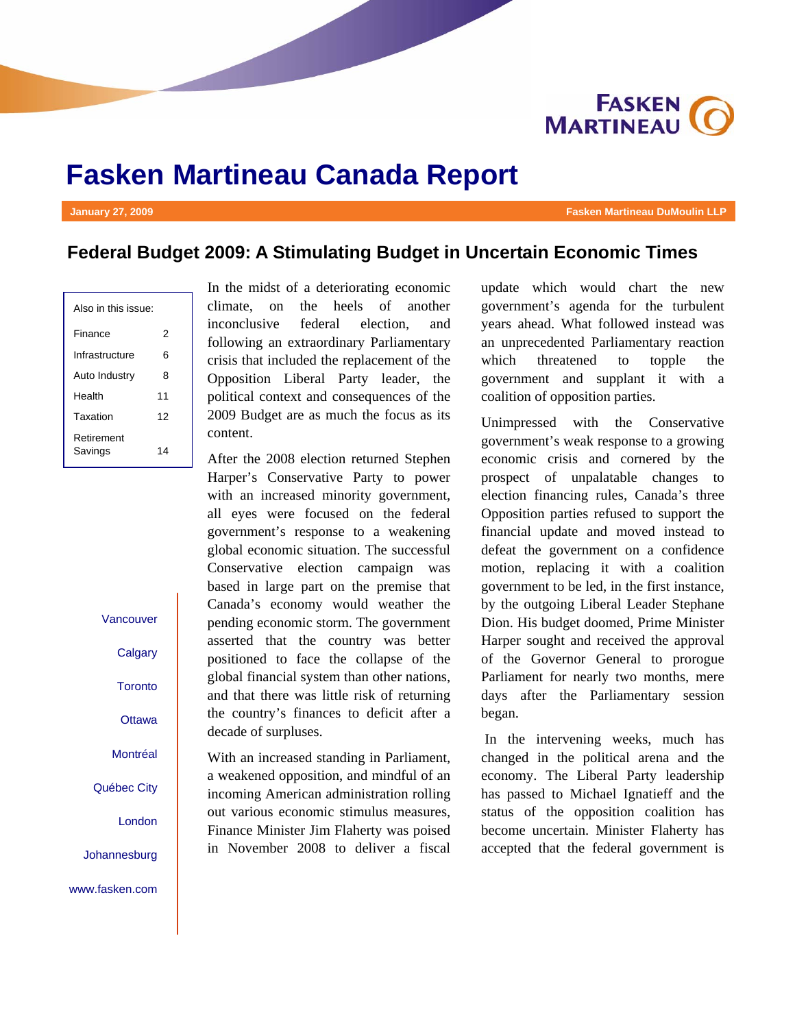

# **Fasken Martineau Canada Report**

#### **January 27, 2009 Fasken Martineau DuMoulin LLP**

## **Federal Budget 2009: A Stimulating Budget in Uncertain Economic Times**

| Also in this issue:   |    |  |
|-----------------------|----|--|
| Finance               | 2  |  |
| Infrastructure        | 6  |  |
| Auto Industry         | 8  |  |
| Health                | 11 |  |
| Taxation              | 12 |  |
| Retirement<br>Savings | 14 |  |

Vancouver

**Calgary** 

**Toronto** 

**Ottawa** 

Montréal

Québec City

London

Johannesburg

www.fasken.com

In the midst of a deteriorating economic climate, on the heels of another inconclusive federal election, and following an extraordinary Parliamentary crisis that included the replacement of the Opposition Liberal Party leader, the political context and consequences of the 2009 Budget are as much the focus as its content.

After the 2008 election returned Stephen Harper's Conservative Party to power with an increased minority government, all eyes were focused on the federal government's response to a weakening global economic situation. The successful Conservative election campaign was based in large part on the premise that Canada's economy would weather the pending economic storm. The government asserted that the country was better positioned to face the collapse of the global financial system than other nations, and that there was little risk of returning the country's finances to deficit after a decade of surpluses.

With an increased standing in Parliament, a weakened opposition, and mindful of an incoming American administration rolling out various economic stimulus measures, Finance Minister Jim Flaherty was poised in November 2008 to deliver a fiscal

update which would chart the new government's agenda for the turbulent years ahead. What followed instead was an unprecedented Parliamentary reaction which threatened to topple the government and supplant it with a coalition of opposition parties.

Unimpressed with the Conservative government's weak response to a growing economic crisis and cornered by the prospect of unpalatable changes to election financing rules, Canada's three Opposition parties refused to support the financial update and moved instead to defeat the government on a confidence motion, replacing it with a coalition government to be led, in the first instance, by the outgoing Liberal Leader Stephane Dion. His budget doomed, Prime Minister Harper sought and received the approval of the Governor General to prorogue Parliament for nearly two months, mere days after the Parliamentary session began.

 In the intervening weeks, much has changed in the political arena and the economy. The Liberal Party leadership has passed to Michael Ignatieff and the status of the opposition coalition has become uncertain. Minister Flaherty has accepted that the federal government is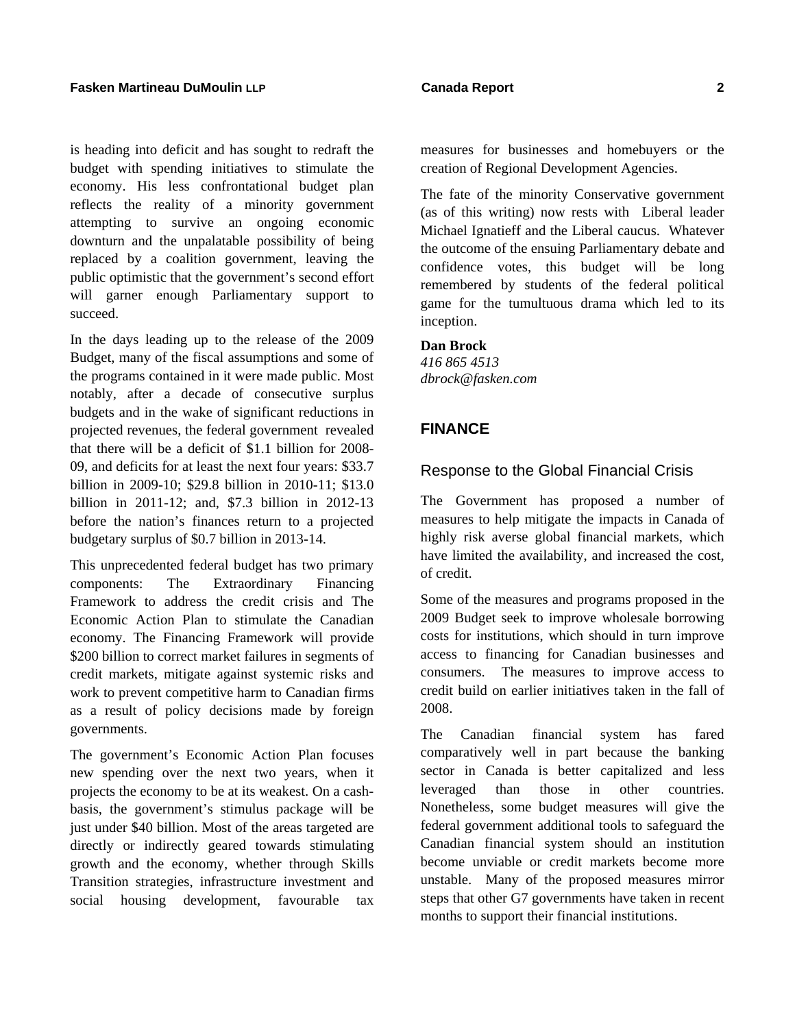is heading into deficit and has sought to redraft the budget with spending initiatives to stimulate the economy. His less confrontational budget plan reflects the reality of a minority government attempting to survive an ongoing economic downturn and the unpalatable possibility of being replaced by a coalition government, leaving the public optimistic that the government's second effort will garner enough Parliamentary support to succeed.

In the days leading up to the release of the 2009 Budget, many of the fiscal assumptions and some of the programs contained in it were made public. Most notably, after a decade of consecutive surplus budgets and in the wake of significant reductions in projected revenues, the federal government revealed that there will be a deficit of \$1.1 billion for 2008- 09, and deficits for at least the next four years: \$33.7 billion in 2009-10; \$29.8 billion in 2010-11; \$13.0 billion in 2011-12; and, \$7.3 billion in 2012-13 before the nation's finances return to a projected budgetary surplus of \$0.7 billion in 2013-14.

This unprecedented federal budget has two primary components: The Extraordinary Financing Framework to address the credit crisis and The Economic Action Plan to stimulate the Canadian economy. The Financing Framework will provide \$200 billion to correct market failures in segments of credit markets, mitigate against systemic risks and work to prevent competitive harm to Canadian firms as a result of policy decisions made by foreign governments.

The government's Economic Action Plan focuses new spending over the next two years, when it projects the economy to be at its weakest. On a cashbasis, the government's stimulus package will be just under \$40 billion. Most of the areas targeted are directly or indirectly geared towards stimulating growth and the economy, whether through Skills Transition strategies, infrastructure investment and social housing development, favourable tax

The fate of the minority Conservative government (as of this writing) now rests with Liberal leader Michael Ignatieff and the Liberal caucus. Whatever the outcome of the ensuing Parliamentary debate and confidence votes, this budget will be long remembered by students of the federal political game for the tumultuous drama which led to its inception.

## **Dan Brock**

*416 865 4513 dbrock@fasken.com* 

## **FINANCE**

#### Response to the Global Financial Crisis

The Government has proposed a number of measures to help mitigate the impacts in Canada of highly risk averse global financial markets, which have limited the availability, and increased the cost, of credit.

Some of the measures and programs proposed in the 2009 Budget seek to improve wholesale borrowing costs for institutions, which should in turn improve access to financing for Canadian businesses and consumers. The measures to improve access to credit build on earlier initiatives taken in the fall of 2008.

The Canadian financial system has fared comparatively well in part because the banking sector in Canada is better capitalized and less leveraged than those in other countries. Nonetheless, some budget measures will give the federal government additional tools to safeguard the Canadian financial system should an institution become unviable or credit markets become more unstable. Many of the proposed measures mirror steps that other G7 governments have taken in recent months to support their financial institutions.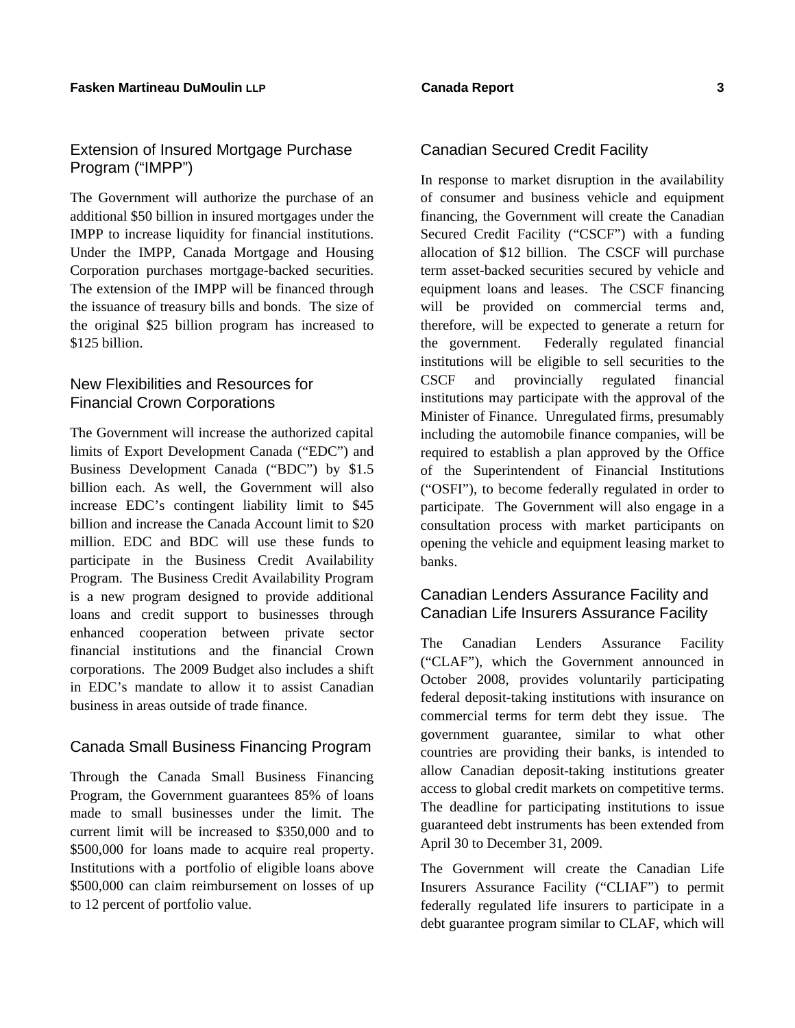## Extension of Insured Mortgage Purchase Program ("IMPP")

The Government will authorize the purchase of an additional \$50 billion in insured mortgages under the IMPP to increase liquidity for financial institutions. Under the IMPP, Canada Mortgage and Housing Corporation purchases mortgage-backed securities. The extension of the IMPP will be financed through the issuance of treasury bills and bonds. The size of the original \$25 billion program has increased to \$125 billion.

## New Flexibilities and Resources for Financial Crown Corporations

The Government will increase the authorized capital limits of Export Development Canada ("EDC") and Business Development Canada ("BDC") by \$1.5 billion each. As well, the Government will also increase EDC's contingent liability limit to \$45 billion and increase the Canada Account limit to \$20 million. EDC and BDC will use these funds to participate in the Business Credit Availability Program. The Business Credit Availability Program is a new program designed to provide additional loans and credit support to businesses through enhanced cooperation between private sector financial institutions and the financial Crown corporations. The 2009 Budget also includes a shift in EDC's mandate to allow it to assist Canadian business in areas outside of trade finance.

## Canada Small Business Financing Program

Through the Canada Small Business Financing Program, the Government guarantees 85% of loans made to small businesses under the limit. The current limit will be increased to \$350,000 and to \$500,000 for loans made to acquire real property. Institutions with a portfolio of eligible loans above \$500,000 can claim reimbursement on losses of up to 12 percent of portfolio value.

## Canadian Secured Credit Facility

In response to market disruption in the availability of consumer and business vehicle and equipment financing, the Government will create the Canadian Secured Credit Facility ("CSCF") with a funding allocation of \$12 billion. The CSCF will purchase term asset-backed securities secured by vehicle and equipment loans and leases. The CSCF financing will be provided on commercial terms and, therefore, will be expected to generate a return for the government. Federally regulated financial institutions will be eligible to sell securities to the CSCF and provincially regulated financial institutions may participate with the approval of the Minister of Finance. Unregulated firms, presumably including the automobile finance companies, will be required to establish a plan approved by the Office of the Superintendent of Financial Institutions ("OSFI"), to become federally regulated in order to participate. The Government will also engage in a consultation process with market participants on opening the vehicle and equipment leasing market to banks.

## Canadian Lenders Assurance Facility and Canadian Life Insurers Assurance Facility

The Canadian Lenders Assurance Facility ("CLAF"), which the Government announced in October 2008, provides voluntarily participating federal deposit-taking institutions with insurance on commercial terms for term debt they issue. The government guarantee, similar to what other countries are providing their banks, is intended to allow Canadian deposit-taking institutions greater access to global credit markets on competitive terms. The deadline for participating institutions to issue guaranteed debt instruments has been extended from April 30 to December 31, 2009.

The Government will create the Canadian Life Insurers Assurance Facility ("CLIAF") to permit federally regulated life insurers to participate in a debt guarantee program similar to CLAF, which will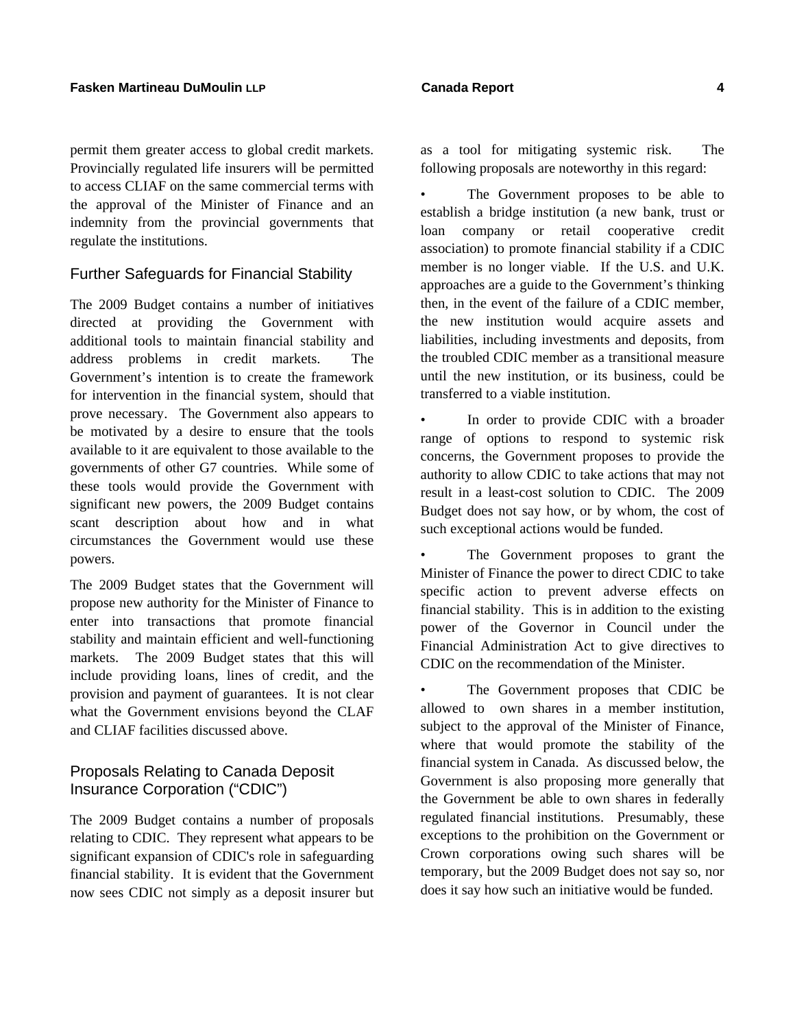permit them greater access to global credit markets. Provincially regulated life insurers will be permitted to access CLIAF on the same commercial terms with the approval of the Minister of Finance and an indemnity from the provincial governments that regulate the institutions.

## Further Safeguards for Financial Stability

The 2009 Budget contains a number of initiatives directed at providing the Government with additional tools to maintain financial stability and address problems in credit markets. The Government's intention is to create the framework for intervention in the financial system, should that prove necessary. The Government also appears to be motivated by a desire to ensure that the tools available to it are equivalent to those available to the governments of other G7 countries. While some of these tools would provide the Government with significant new powers, the 2009 Budget contains scant description about how and in what circumstances the Government would use these powers.

The 2009 Budget states that the Government will propose new authority for the Minister of Finance to enter into transactions that promote financial stability and maintain efficient and well-functioning markets. The 2009 Budget states that this will include providing loans, lines of credit, and the provision and payment of guarantees. It is not clear what the Government envisions beyond the CLAF and CLIAF facilities discussed above.

## Proposals Relating to Canada Deposit Insurance Corporation ("CDIC")

The 2009 Budget contains a number of proposals relating to CDIC. They represent what appears to be significant expansion of CDIC's role in safeguarding financial stability. It is evident that the Government now sees CDIC not simply as a deposit insurer but

The Government proposes to be able to establish a bridge institution (a new bank, trust or loan company or retail cooperative credit association) to promote financial stability if a CDIC member is no longer viable. If the U.S. and U.K. approaches are a guide to the Government's thinking then, in the event of the failure of a CDIC member, the new institution would acquire assets and liabilities, including investments and deposits, from the troubled CDIC member as a transitional measure until the new institution, or its business, could be transferred to a viable institution.

In order to provide CDIC with a broader range of options to respond to systemic risk concerns, the Government proposes to provide the authority to allow CDIC to take actions that may not result in a least-cost solution to CDIC. The 2009 Budget does not say how, or by whom, the cost of such exceptional actions would be funded.

The Government proposes to grant the Minister of Finance the power to direct CDIC to take specific action to prevent adverse effects on financial stability. This is in addition to the existing power of the Governor in Council under the Financial Administration Act to give directives to CDIC on the recommendation of the Minister.

The Government proposes that CDIC be allowed to own shares in a member institution, subject to the approval of the Minister of Finance, where that would promote the stability of the financial system in Canada. As discussed below, the Government is also proposing more generally that the Government be able to own shares in federally regulated financial institutions. Presumably, these exceptions to the prohibition on the Government or Crown corporations owing such shares will be temporary, but the 2009 Budget does not say so, nor does it say how such an initiative would be funded.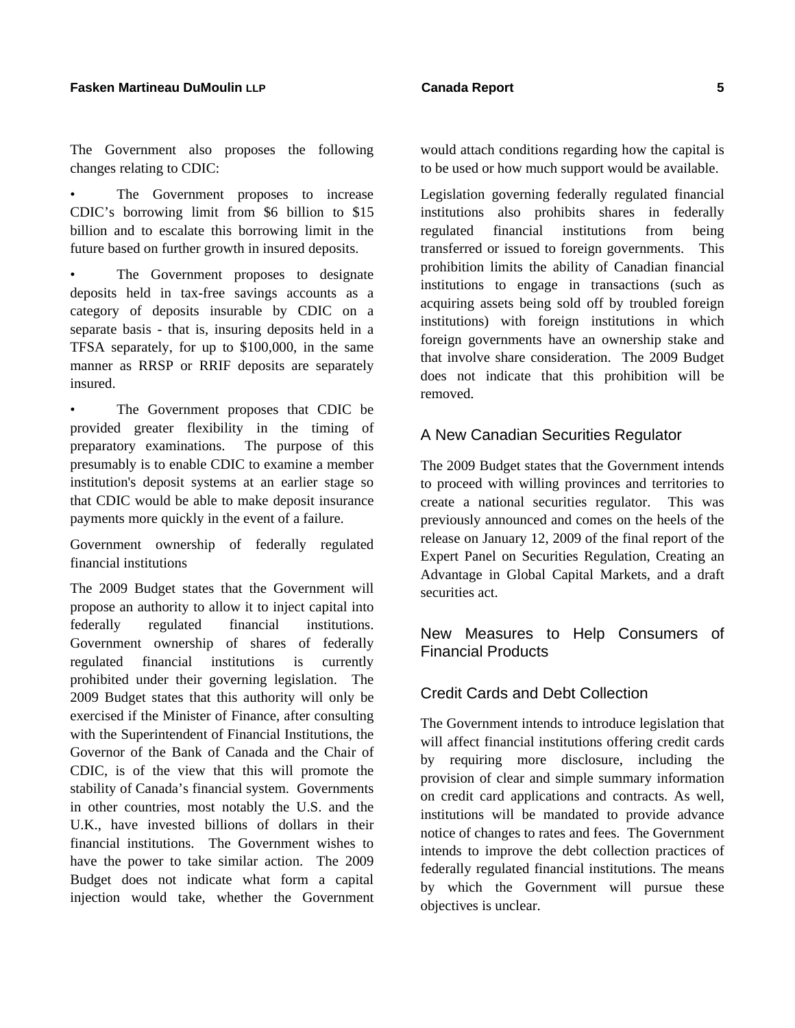#### **Fasken Martineau DuMoulin LLP Canada Report 5**

The Government also proposes the following changes relating to CDIC:

The Government proposes to increase CDIC's borrowing limit from \$6 billion to \$15 billion and to escalate this borrowing limit in the future based on further growth in insured deposits.

The Government proposes to designate deposits held in tax-free savings accounts as a category of deposits insurable by CDIC on a separate basis - that is, insuring deposits held in a TFSA separately, for up to \$100,000, in the same manner as RRSP or RRIF deposits are separately insured.

The Government proposes that CDIC be provided greater flexibility in the timing of preparatory examinations. The purpose of this presumably is to enable CDIC to examine a member institution's deposit systems at an earlier stage so that CDIC would be able to make deposit insurance payments more quickly in the event of a failure.

Government ownership of federally regulated financial institutions

The 2009 Budget states that the Government will propose an authority to allow it to inject capital into federally regulated financial institutions. Government ownership of shares of federally regulated financial institutions is currently prohibited under their governing legislation. The 2009 Budget states that this authority will only be exercised if the Minister of Finance, after consulting with the Superintendent of Financial Institutions, the Governor of the Bank of Canada and the Chair of CDIC, is of the view that this will promote the stability of Canada's financial system. Governments in other countries, most notably the U.S. and the U.K., have invested billions of dollars in their financial institutions. The Government wishes to have the power to take similar action. The 2009 Budget does not indicate what form a capital injection would take, whether the Government would attach conditions regarding how the capital is to be used or how much support would be available.

Legislation governing federally regulated financial institutions also prohibits shares in federally regulated financial institutions from being transferred or issued to foreign governments. This prohibition limits the ability of Canadian financial institutions to engage in transactions (such as acquiring assets being sold off by troubled foreign institutions) with foreign institutions in which foreign governments have an ownership stake and that involve share consideration. The 2009 Budget does not indicate that this prohibition will be removed.

### A New Canadian Securities Regulator

The 2009 Budget states that the Government intends to proceed with willing provinces and territories to create a national securities regulator. This was previously announced and comes on the heels of the release on January 12, 2009 of the final report of the Expert Panel on Securities Regulation, Creating an Advantage in Global Capital Markets, and a draft securities act.

## New Measures to Help Consumers of Financial Products

## Credit Cards and Debt Collection

The Government intends to introduce legislation that will affect financial institutions offering credit cards by requiring more disclosure, including the provision of clear and simple summary information on credit card applications and contracts. As well, institutions will be mandated to provide advance notice of changes to rates and fees. The Government intends to improve the debt collection practices of federally regulated financial institutions. The means by which the Government will pursue these objectives is unclear.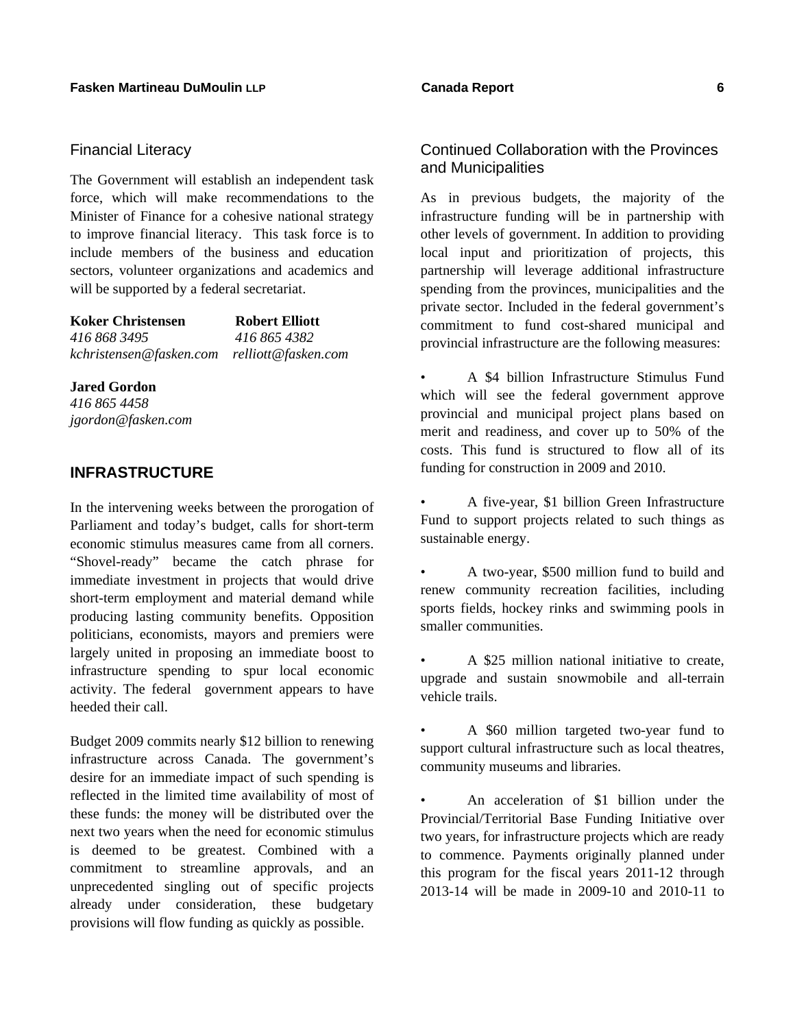## Financial Literacy

The Government will establish an independent task force, which will make recommendations to the Minister of Finance for a cohesive national strategy to improve financial literacy. This task force is to include members of the business and education sectors, volunteer organizations and academics and will be supported by a federal secretariat.

| <b>Koker Christensen</b>                    | <b>Robert Elliott</b> |
|---------------------------------------------|-----------------------|
| 416 868 3495                                | 416 865 4382          |
| kchristensen@fasken.com relliott@fasken.com |                       |

## **Jared Gordon**

*416 865 4458 jgordon@fasken.com* 

## **INFRASTRUCTURE**

In the intervening weeks between the prorogation of Parliament and today's budget, calls for short-term economic stimulus measures came from all corners. "Shovel-ready" became the catch phrase for immediate investment in projects that would drive short-term employment and material demand while producing lasting community benefits. Opposition politicians, economists, mayors and premiers were largely united in proposing an immediate boost to infrastructure spending to spur local economic activity. The federal government appears to have heeded their call.

Budget 2009 commits nearly \$12 billion to renewing infrastructure across Canada. The government's desire for an immediate impact of such spending is reflected in the limited time availability of most of these funds: the money will be distributed over the next two years when the need for economic stimulus is deemed to be greatest. Combined with a commitment to streamline approvals, and an unprecedented singling out of specific projects already under consideration, these budgetary provisions will flow funding as quickly as possible.

## Continued Collaboration with the Provinces and Municipalities

As in previous budgets, the majority of the infrastructure funding will be in partnership with other levels of government. In addition to providing local input and prioritization of projects, this partnership will leverage additional infrastructure spending from the provinces, municipalities and the private sector. Included in the federal government's commitment to fund cost-shared municipal and provincial infrastructure are the following measures:

- A \$4 billion Infrastructure Stimulus Fund which will see the federal government approve provincial and municipal project plans based on merit and readiness, and cover up to 50% of the costs. This fund is structured to flow all of its funding for construction in 2009 and 2010.
- A five-year, \$1 billion Green Infrastructure Fund to support projects related to such things as sustainable energy.
- A two-year, \$500 million fund to build and renew community recreation facilities, including sports fields, hockey rinks and swimming pools in smaller communities.
- A \$25 million national initiative to create, upgrade and sustain snowmobile and all-terrain vehicle trails.
- A \$60 million targeted two-year fund to support cultural infrastructure such as local theatres, community museums and libraries.

• An acceleration of \$1 billion under the Provincial/Territorial Base Funding Initiative over two years, for infrastructure projects which are ready to commence. Payments originally planned under this program for the fiscal years 2011-12 through 2013-14 will be made in 2009-10 and 2010-11 to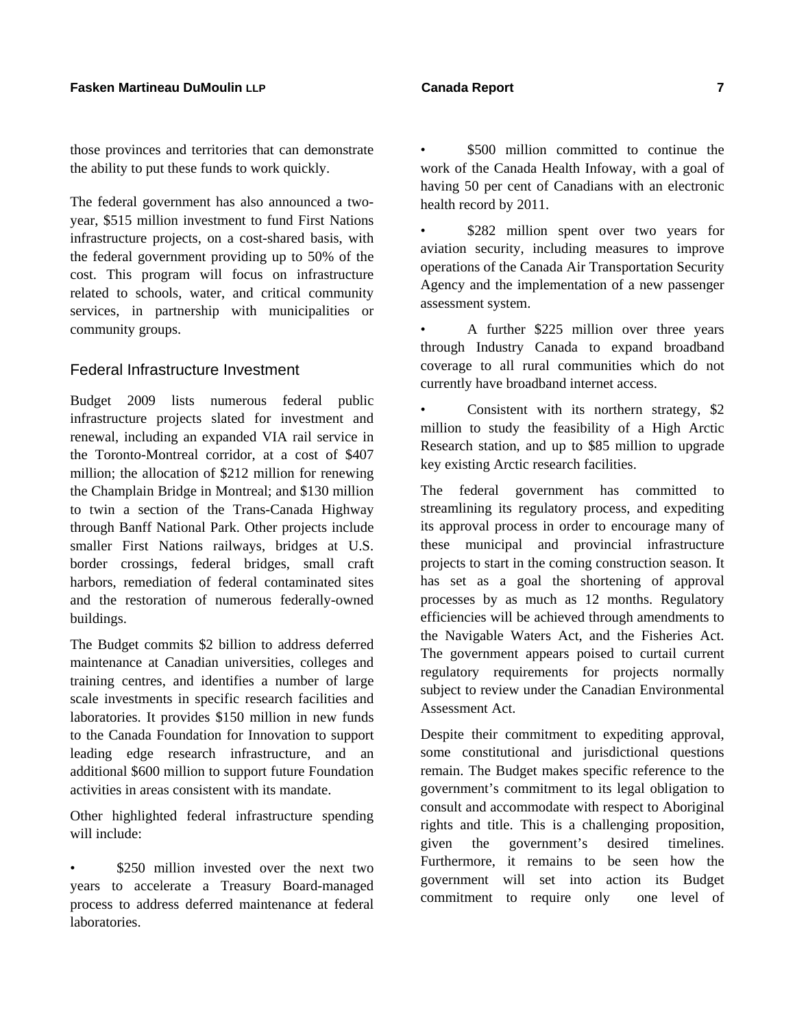those provinces and territories that can demonstrate the ability to put these funds to work quickly.

The federal government has also announced a twoyear, \$515 million investment to fund First Nations infrastructure projects, on a cost-shared basis, with the federal government providing up to 50% of the cost. This program will focus on infrastructure related to schools, water, and critical community services, in partnership with municipalities or community groups.

### Federal Infrastructure Investment

Budget 2009 lists numerous federal public infrastructure projects slated for investment and renewal, including an expanded VIA rail service in the Toronto-Montreal corridor, at a cost of \$407 million; the allocation of \$212 million for renewing the Champlain Bridge in Montreal; and \$130 million to twin a section of the Trans-Canada Highway through Banff National Park. Other projects include smaller First Nations railways, bridges at U.S. border crossings, federal bridges, small craft harbors, remediation of federal contaminated sites and the restoration of numerous federally-owned buildings.

The Budget commits \$2 billion to address deferred maintenance at Canadian universities, colleges and training centres, and identifies a number of large scale investments in specific research facilities and laboratories. It provides \$150 million in new funds to the Canada Foundation for Innovation to support leading edge research infrastructure, and an additional \$600 million to support future Foundation activities in areas consistent with its mandate.

Other highlighted federal infrastructure spending will include:

\$250 million invested over the next two years to accelerate a Treasury Board-managed process to address deferred maintenance at federal laboratories.

- \$500 million committed to continue the work of the Canada Health Infoway, with a goal of having 50 per cent of Canadians with an electronic health record by 2011.
- \$282 million spent over two years for aviation security, including measures to improve operations of the Canada Air Transportation Security Agency and the implementation of a new passenger assessment system.
- A further \$225 million over three years through Industry Canada to expand broadband coverage to all rural communities which do not currently have broadband internet access.

• Consistent with its northern strategy, \$2 million to study the feasibility of a High Arctic Research station, and up to \$85 million to upgrade key existing Arctic research facilities.

The federal government has committed to streamlining its regulatory process, and expediting its approval process in order to encourage many of these municipal and provincial infrastructure projects to start in the coming construction season. It has set as a goal the shortening of approval processes by as much as 12 months. Regulatory efficiencies will be achieved through amendments to the Navigable Waters Act, and the Fisheries Act. The government appears poised to curtail current regulatory requirements for projects normally subject to review under the Canadian Environmental Assessment Act.

Despite their commitment to expediting approval, some constitutional and jurisdictional questions remain. The Budget makes specific reference to the government's commitment to its legal obligation to consult and accommodate with respect to Aboriginal rights and title. This is a challenging proposition, given the government's desired timelines. Furthermore, it remains to be seen how the government will set into action its Budget commitment to require only one level of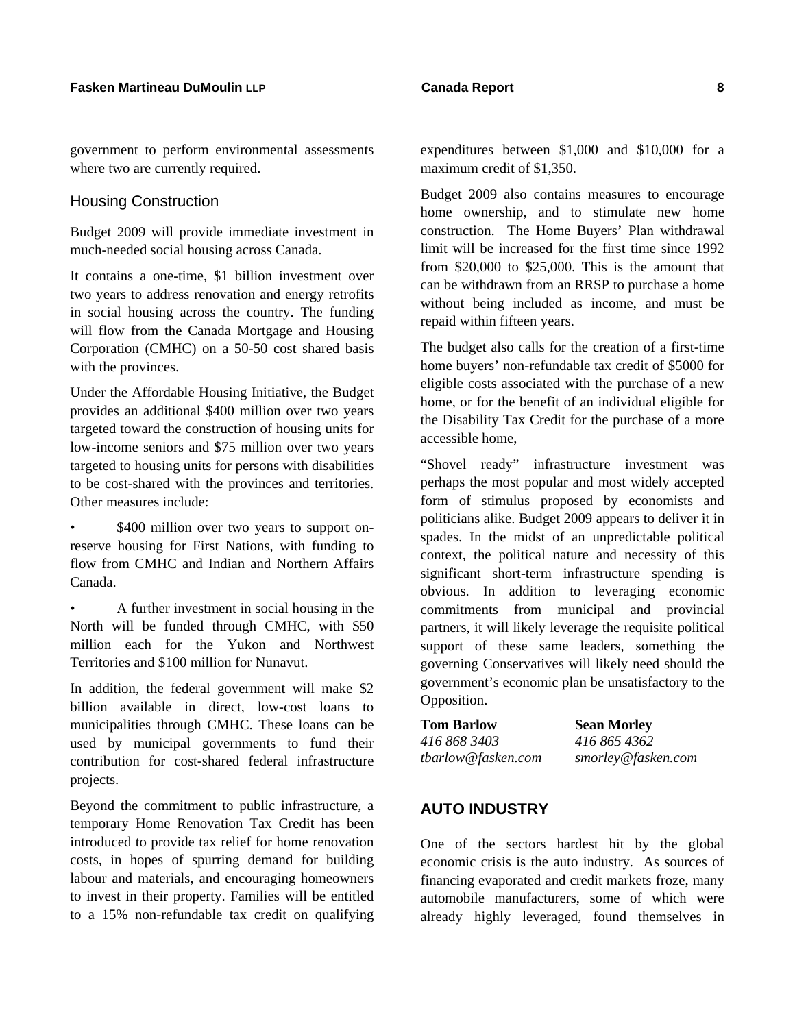government to perform environmental assessments where two are currently required.

### Housing Construction

Budget 2009 will provide immediate investment in much-needed social housing across Canada.

It contains a one-time, \$1 billion investment over two years to address renovation and energy retrofits in social housing across the country. The funding will flow from the Canada Mortgage and Housing Corporation (CMHC) on a 50-50 cost shared basis with the provinces.

Under the Affordable Housing Initiative, the Budget provides an additional \$400 million over two years targeted toward the construction of housing units for low-income seniors and \$75 million over two years targeted to housing units for persons with disabilities to be cost-shared with the provinces and territories. Other measures include:

\$400 million over two years to support onreserve housing for First Nations, with funding to flow from CMHC and Indian and Northern Affairs Canada.

• A further investment in social housing in the North will be funded through CMHC, with \$50 million each for the Yukon and Northwest Territories and \$100 million for Nunavut.

In addition, the federal government will make \$2 billion available in direct, low-cost loans to municipalities through CMHC. These loans can be used by municipal governments to fund their contribution for cost-shared federal infrastructure projects.

Beyond the commitment to public infrastructure, a temporary Home Renovation Tax Credit has been introduced to provide tax relief for home renovation costs, in hopes of spurring demand for building labour and materials, and encouraging homeowners to invest in their property. Families will be entitled to a 15% non-refundable tax credit on qualifying

expenditures between \$1,000 and \$10,000 for a maximum credit of \$1,350.

Budget 2009 also contains measures to encourage home ownership, and to stimulate new home construction. The Home Buyers' Plan withdrawal limit will be increased for the first time since 1992 from \$20,000 to \$25,000. This is the amount that can be withdrawn from an RRSP to purchase a home without being included as income, and must be repaid within fifteen years.

The budget also calls for the creation of a first-time home buyers' non-refundable tax credit of \$5000 for eligible costs associated with the purchase of a new home, or for the benefit of an individual eligible for the Disability Tax Credit for the purchase of a more accessible home,

"Shovel ready" infrastructure investment was perhaps the most popular and most widely accepted form of stimulus proposed by economists and politicians alike. Budget 2009 appears to deliver it in spades. In the midst of an unpredictable political context, the political nature and necessity of this significant short-term infrastructure spending is obvious. In addition to leveraging economic commitments from municipal and provincial partners, it will likely leverage the requisite political support of these same leaders, something the governing Conservatives will likely need should the government's economic plan be unsatisfactory to the Opposition.

| <b>Tom Barlow</b>  | <b>Sean Morley</b> |
|--------------------|--------------------|
| 416 868 3403       | 416 865 4362       |
| tbarlow@fasken.com | smorley@fasken.com |

## **AUTO INDUSTRY**

One of the sectors hardest hit by the global economic crisis is the auto industry. As sources of financing evaporated and credit markets froze, many automobile manufacturers, some of which were already highly leveraged, found themselves in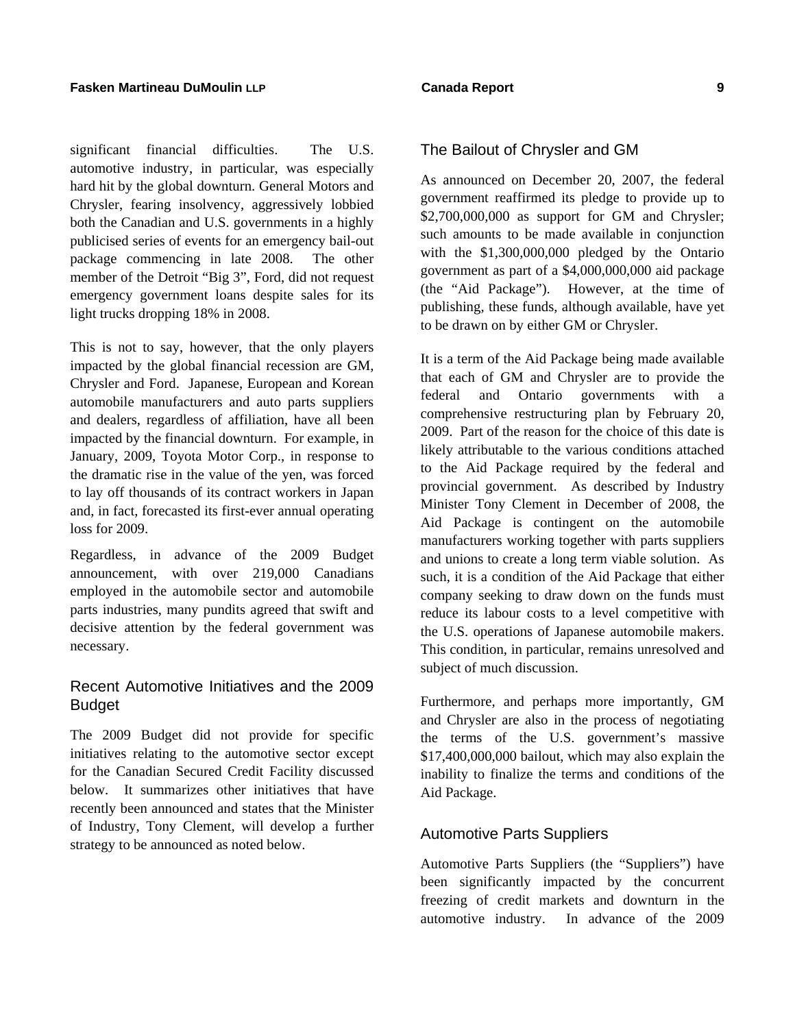significant financial difficulties. The U.S. automotive industry, in particular, was especially hard hit by the global downturn. General Motors and Chrysler, fearing insolvency, aggressively lobbied both the Canadian and U.S. governments in a highly publicised series of events for an emergency bail-out package commencing in late 2008. The other member of the Detroit "Big 3", Ford, did not request emergency government loans despite sales for its light trucks dropping 18% in 2008.

This is not to say, however, that the only players impacted by the global financial recession are GM, Chrysler and Ford. Japanese, European and Korean automobile manufacturers and auto parts suppliers and dealers, regardless of affiliation, have all been impacted by the financial downturn. For example, in January, 2009, Toyota Motor Corp., in response to the dramatic rise in the value of the yen, was forced to lay off thousands of its contract workers in Japan and, in fact, forecasted its first-ever annual operating loss for 2009.

Regardless, in advance of the 2009 Budget announcement, with over 219,000 Canadians employed in the automobile sector and automobile parts industries, many pundits agreed that swift and decisive attention by the federal government was necessary.

## Recent Automotive Initiatives and the 2009 Budget

The 2009 Budget did not provide for specific initiatives relating to the automotive sector except for the Canadian Secured Credit Facility discussed below. It summarizes other initiatives that have recently been announced and states that the Minister of Industry, Tony Clement, will develop a further strategy to be announced as noted below.

## The Bailout of Chrysler and GM

As announced on December 20, 2007, the federal government reaffirmed its pledge to provide up to \$2,700,000,000 as support for GM and Chrysler; such amounts to be made available in conjunction with the \$1,300,000,000 pledged by the Ontario government as part of a \$4,000,000,000 aid package (the "Aid Package"). However, at the time of publishing, these funds, although available, have yet to be drawn on by either GM or Chrysler.

It is a term of the Aid Package being made available that each of GM and Chrysler are to provide the federal and Ontario governments with a comprehensive restructuring plan by February 20, 2009. Part of the reason for the choice of this date is likely attributable to the various conditions attached to the Aid Package required by the federal and provincial government. As described by Industry Minister Tony Clement in December of 2008, the Aid Package is contingent on the automobile manufacturers working together with parts suppliers and unions to create a long term viable solution. As such, it is a condition of the Aid Package that either company seeking to draw down on the funds must reduce its labour costs to a level competitive with the U.S. operations of Japanese automobile makers. This condition, in particular, remains unresolved and subject of much discussion.

Furthermore, and perhaps more importantly, GM and Chrysler are also in the process of negotiating the terms of the U.S. government's massive \$17,400,000,000 bailout, which may also explain the inability to finalize the terms and conditions of the Aid Package.

## Automotive Parts Suppliers

Automotive Parts Suppliers (the "Suppliers") have been significantly impacted by the concurrent freezing of credit markets and downturn in the automotive industry. In advance of the 2009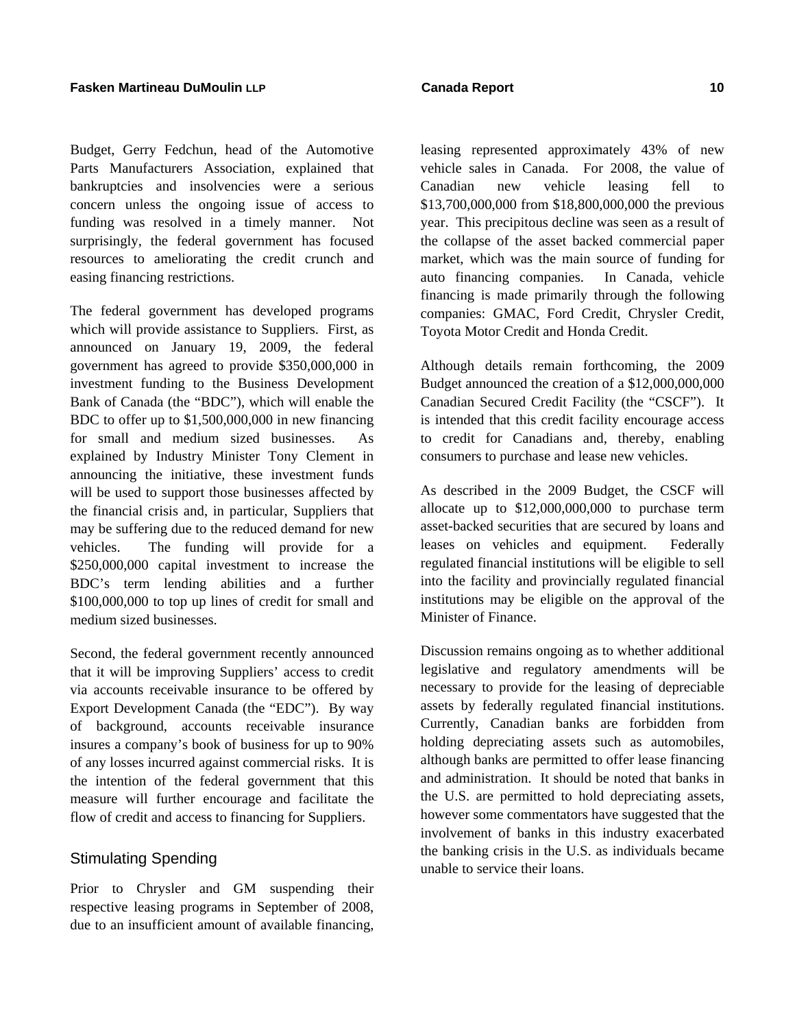Budget, Gerry Fedchun, head of the Automotive Parts Manufacturers Association, explained that bankruptcies and insolvencies were a serious concern unless the ongoing issue of access to funding was resolved in a timely manner. Not surprisingly, the federal government has focused resources to ameliorating the credit crunch and easing financing restrictions.

The federal government has developed programs which will provide assistance to Suppliers. First, as announced on January 19, 2009, the federal government has agreed to provide \$350,000,000 in investment funding to the Business Development Bank of Canada (the "BDC"), which will enable the BDC to offer up to \$1,500,000,000 in new financing for small and medium sized businesses. As explained by Industry Minister Tony Clement in announcing the initiative, these investment funds will be used to support those businesses affected by the financial crisis and, in particular, Suppliers that may be suffering due to the reduced demand for new vehicles. The funding will provide for a \$250,000,000 capital investment to increase the BDC's term lending abilities and a further \$100,000,000 to top up lines of credit for small and medium sized businesses.

Second, the federal government recently announced that it will be improving Suppliers' access to credit via accounts receivable insurance to be offered by Export Development Canada (the "EDC"). By way of background, accounts receivable insurance insures a company's book of business for up to 90% of any losses incurred against commercial risks. It is the intention of the federal government that this measure will further encourage and facilitate the flow of credit and access to financing for Suppliers.

## Stimulating Spending

Prior to Chrysler and GM suspending their respective leasing programs in September of 2008, due to an insufficient amount of available financing,

leasing represented approximately 43% of new vehicle sales in Canada. For 2008, the value of Canadian new vehicle leasing fell to \$13,700,000,000 from \$18,800,000,000 the previous year. This precipitous decline was seen as a result of the collapse of the asset backed commercial paper market, which was the main source of funding for auto financing companies. In Canada, vehicle financing is made primarily through the following companies: GMAC, Ford Credit, Chrysler Credit, Toyota Motor Credit and Honda Credit.

Although details remain forthcoming, the 2009 Budget announced the creation of a \$12,000,000,000 Canadian Secured Credit Facility (the "CSCF"). It is intended that this credit facility encourage access to credit for Canadians and, thereby, enabling consumers to purchase and lease new vehicles.

As described in the 2009 Budget, the CSCF will allocate up to \$12,000,000,000 to purchase term asset-backed securities that are secured by loans and leases on vehicles and equipment. Federally regulated financial institutions will be eligible to sell into the facility and provincially regulated financial institutions may be eligible on the approval of the Minister of Finance.

Discussion remains ongoing as to whether additional legislative and regulatory amendments will be necessary to provide for the leasing of depreciable assets by federally regulated financial institutions. Currently, Canadian banks are forbidden from holding depreciating assets such as automobiles, although banks are permitted to offer lease financing and administration. It should be noted that banks in the U.S. are permitted to hold depreciating assets, however some commentators have suggested that the involvement of banks in this industry exacerbated the banking crisis in the U.S. as individuals became unable to service their loans.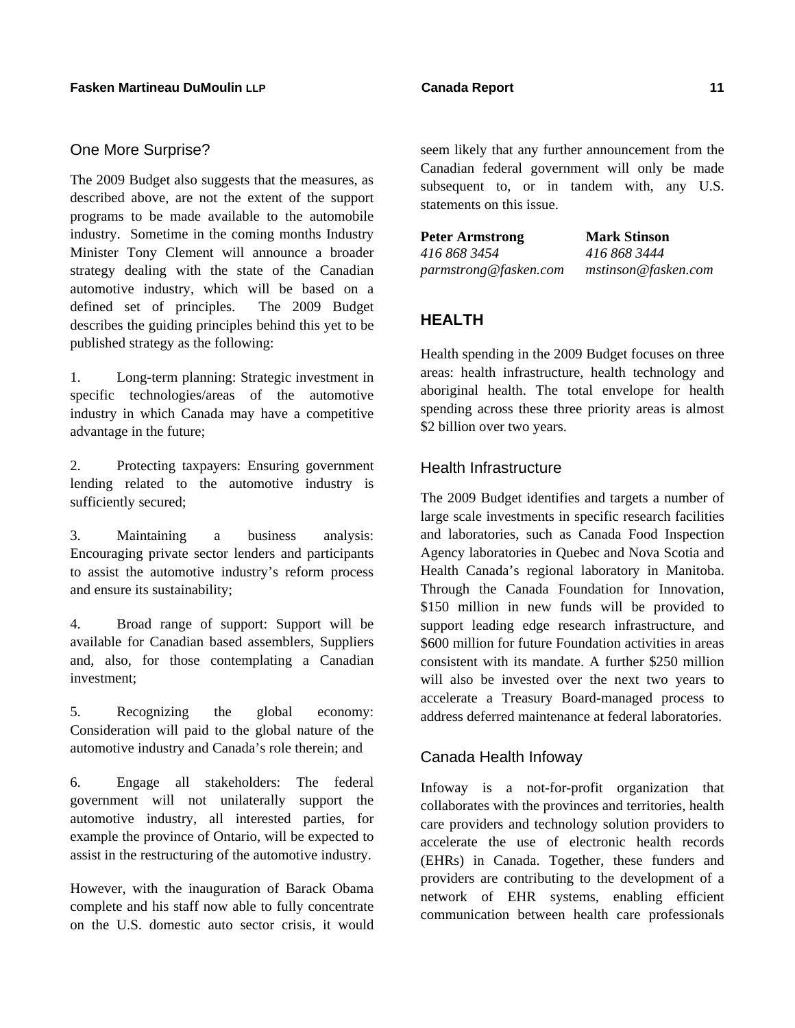## One More Surprise?

The 2009 Budget also suggests that the measures, as described above, are not the extent of the support programs to be made available to the automobile industry. Sometime in the coming months Industry Minister Tony Clement will announce a broader strategy dealing with the state of the Canadian automotive industry, which will be based on a defined set of principles. The 2009 Budget describes the guiding principles behind this yet to be published strategy as the following:

1. Long-term planning: Strategic investment in specific technologies/areas of the automotive industry in which Canada may have a competitive advantage in the future;

2. Protecting taxpayers: Ensuring government lending related to the automotive industry is sufficiently secured;

3. Maintaining a business analysis: Encouraging private sector lenders and participants to assist the automotive industry's reform process and ensure its sustainability;

4. Broad range of support: Support will be available for Canadian based assemblers, Suppliers and, also, for those contemplating a Canadian investment;

5. Recognizing the global economy: Consideration will paid to the global nature of the automotive industry and Canada's role therein; and

6. Engage all stakeholders: The federal government will not unilaterally support the automotive industry, all interested parties, for example the province of Ontario, will be expected to assist in the restructuring of the automotive industry.

However, with the inauguration of Barack Obama complete and his staff now able to fully concentrate on the U.S. domestic auto sector crisis, it would

seem likely that any further announcement from the Canadian federal government will only be made subsequent to, or in tandem with, any U.S. statements on this issue.

**Peter Armstrong Mark Stinson** *416 868 3454 416 868 3444* 

*parmstrong@fasken.com mstinson@fasken.com*

## **HEALTH**

Health spending in the 2009 Budget focuses on three areas: health infrastructure, health technology and aboriginal health. The total envelope for health spending across these three priority areas is almost \$2 billion over two years.

## Health Infrastructure

The 2009 Budget identifies and targets a number of large scale investments in specific research facilities and laboratories, such as Canada Food Inspection Agency laboratories in Quebec and Nova Scotia and Health Canada's regional laboratory in Manitoba. Through the Canada Foundation for Innovation, \$150 million in new funds will be provided to support leading edge research infrastructure, and \$600 million for future Foundation activities in areas consistent with its mandate. A further \$250 million will also be invested over the next two years to accelerate a Treasury Board-managed process to address deferred maintenance at federal laboratories.

## Canada Health Infoway

Infoway is a not-for-profit organization that collaborates with the provinces and territories, health care providers and technology solution providers to accelerate the use of electronic health records (EHRs) in Canada. Together, these funders and providers are contributing to the development of a network of EHR systems, enabling efficient communication between health care professionals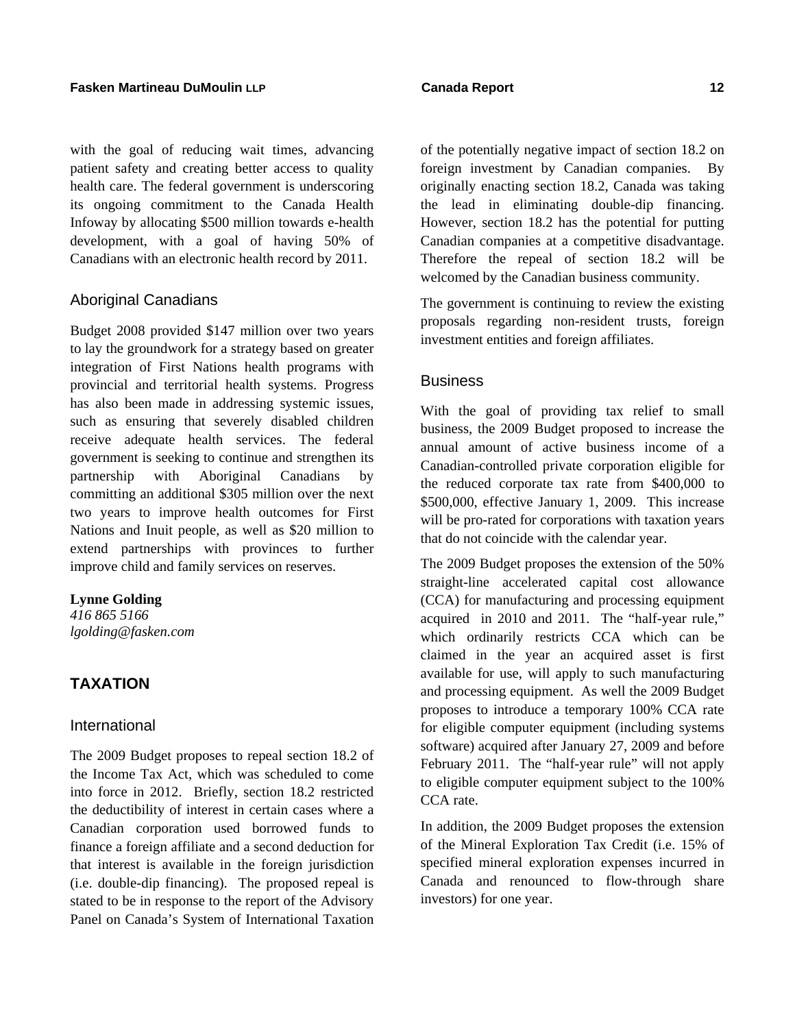with the goal of reducing wait times, advancing patient safety and creating better access to quality health care. The federal government is underscoring its ongoing commitment to the Canada Health Infoway by allocating \$500 million towards e-health development, with a goal of having 50% of Canadians with an electronic health record by 2011.

## Aboriginal Canadians

Budget 2008 provided \$147 million over two years to lay the groundwork for a strategy based on greater integration of First Nations health programs with provincial and territorial health systems. Progress has also been made in addressing systemic issues, such as ensuring that severely disabled children receive adequate health services. The federal government is seeking to continue and strengthen its partnership with Aboriginal Canadians by committing an additional \$305 million over the next two years to improve health outcomes for First Nations and Inuit people, as well as \$20 million to extend partnerships with provinces to further improve child and family services on reserves.

### **Lynne Golding**

*416 865 5166 lgolding@fasken.com* 

## **TAXATION**

### International

The 2009 Budget proposes to repeal section 18.2 of the Income Tax Act, which was scheduled to come into force in 2012. Briefly, section 18.2 restricted the deductibility of interest in certain cases where a Canadian corporation used borrowed funds to finance a foreign affiliate and a second deduction for that interest is available in the foreign jurisdiction (i.e. double-dip financing). The proposed repeal is stated to be in response to the report of the Advisory Panel on Canada's System of International Taxation

of the potentially negative impact of section 18.2 on foreign investment by Canadian companies. By originally enacting section 18.2, Canada was taking the lead in eliminating double-dip financing. However, section 18.2 has the potential for putting Canadian companies at a competitive disadvantage. Therefore the repeal of section 18.2 will be welcomed by the Canadian business community.

The government is continuing to review the existing proposals regarding non-resident trusts, foreign investment entities and foreign affiliates.

### **Business**

With the goal of providing tax relief to small business, the 2009 Budget proposed to increase the annual amount of active business income of a Canadian-controlled private corporation eligible for the reduced corporate tax rate from \$400,000 to \$500,000, effective January 1, 2009. This increase will be pro-rated for corporations with taxation years that do not coincide with the calendar year.

The 2009 Budget proposes the extension of the 50% straight-line accelerated capital cost allowance (CCA) for manufacturing and processing equipment acquired in 2010 and 2011. The "half-year rule," which ordinarily restricts CCA which can be claimed in the year an acquired asset is first available for use, will apply to such manufacturing and processing equipment. As well the 2009 Budget proposes to introduce a temporary 100% CCA rate for eligible computer equipment (including systems software) acquired after January 27, 2009 and before February 2011. The "half-year rule" will not apply to eligible computer equipment subject to the 100% CCA rate.

In addition, the 2009 Budget proposes the extension of the Mineral Exploration Tax Credit (i.e. 15% of specified mineral exploration expenses incurred in Canada and renounced to flow-through share investors) for one year.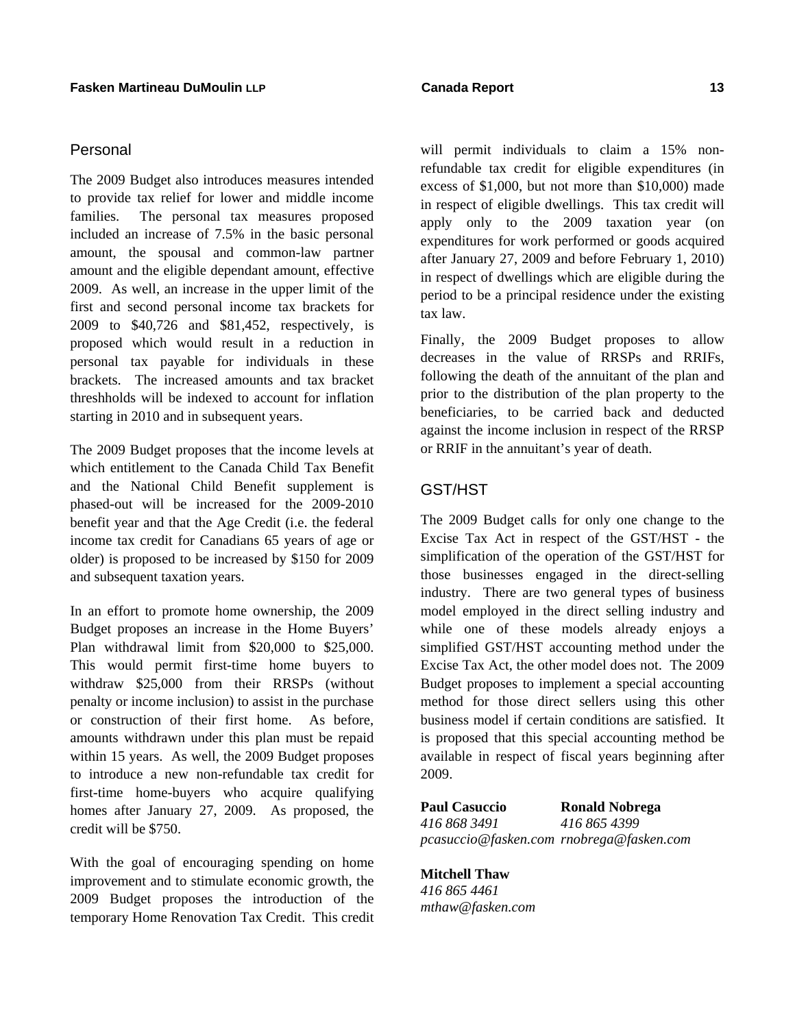## Personal

The 2009 Budget also introduces measures intended to provide tax relief for lower and middle income families. The personal tax measures proposed included an increase of 7.5% in the basic personal amount, the spousal and common-law partner amount and the eligible dependant amount, effective 2009. As well, an increase in the upper limit of the first and second personal income tax brackets for 2009 to \$40,726 and \$81,452, respectively, is proposed which would result in a reduction in personal tax payable for individuals in these brackets. The increased amounts and tax bracket threshholds will be indexed to account for inflation starting in 2010 and in subsequent years.

The 2009 Budget proposes that the income levels at which entitlement to the Canada Child Tax Benefit and the National Child Benefit supplement is phased-out will be increased for the 2009-2010 benefit year and that the Age Credit (i.e. the federal income tax credit for Canadians 65 years of age or older) is proposed to be increased by \$150 for 2009 and subsequent taxation years.

In an effort to promote home ownership, the 2009 Budget proposes an increase in the Home Buyers' Plan withdrawal limit from \$20,000 to \$25,000. This would permit first-time home buyers to withdraw \$25,000 from their RRSPs (without penalty or income inclusion) to assist in the purchase or construction of their first home. As before, amounts withdrawn under this plan must be repaid within 15 years. As well, the 2009 Budget proposes to introduce a new non-refundable tax credit for first-time home-buyers who acquire qualifying homes after January 27, 2009. As proposed, the credit will be \$750.

With the goal of encouraging spending on home improvement and to stimulate economic growth, the 2009 Budget proposes the introduction of the temporary Home Renovation Tax Credit. This credit will permit individuals to claim a 15% nonrefundable tax credit for eligible expenditures (in excess of \$1,000, but not more than \$10,000) made in respect of eligible dwellings. This tax credit will apply only to the 2009 taxation year (on expenditures for work performed or goods acquired after January 27, 2009 and before February 1, 2010) in respect of dwellings which are eligible during the period to be a principal residence under the existing tax law.

Finally, the 2009 Budget proposes to allow decreases in the value of RRSPs and RRIFs, following the death of the annuitant of the plan and prior to the distribution of the plan property to the beneficiaries, to be carried back and deducted against the income inclusion in respect of the RRSP or RRIF in the annuitant's year of death.

## GST/HST

The 2009 Budget calls for only one change to the Excise Tax Act in respect of the GST/HST - the simplification of the operation of the GST/HST for those businesses engaged in the direct-selling industry. There are two general types of business model employed in the direct selling industry and while one of these models already enjoys a simplified GST/HST accounting method under the Excise Tax Act, the other model does not. The 2009 Budget proposes to implement a special accounting method for those direct sellers using this other business model if certain conditions are satisfied. It is proposed that this special accounting method be available in respect of fiscal years beginning after 2009.

**Paul Casuccio Ronald Nobrega**  *416 868 3491 416 865 4399 pcasuccio@fasken.com rnobrega@fasken.com* 

**Mitchell Thaw**  *416 865 4461 mthaw@fasken.com*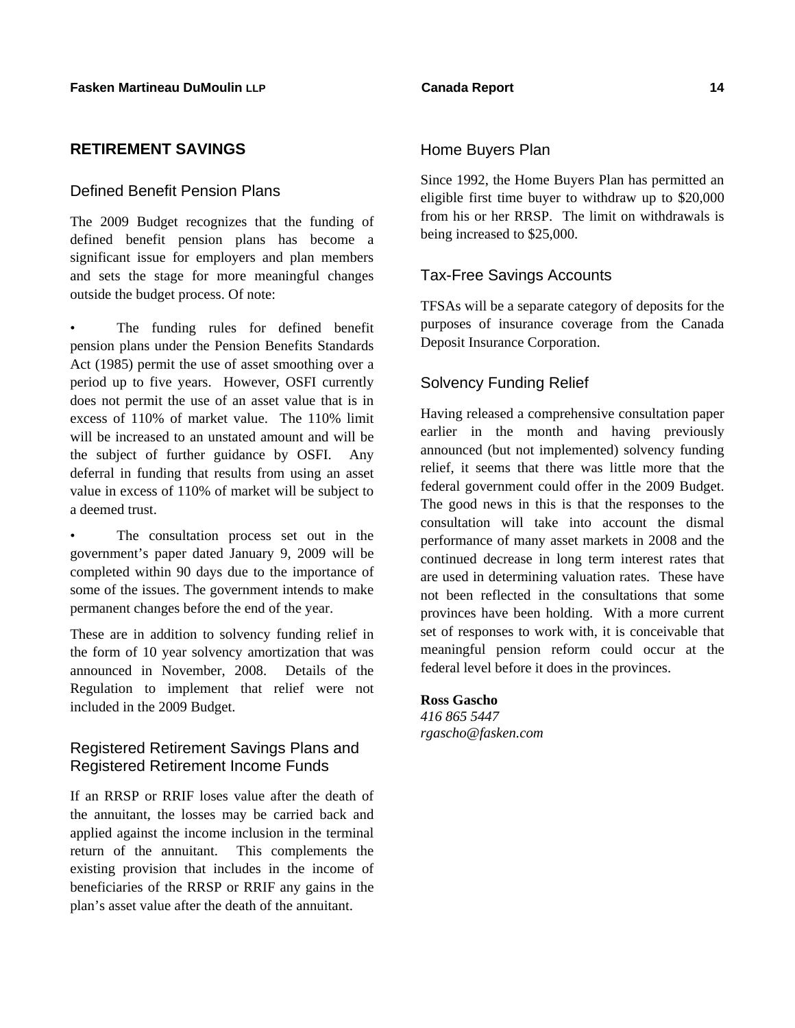## **RETIREMENT SAVINGS**

## Defined Benefit Pension Plans

The 2009 Budget recognizes that the funding of defined benefit pension plans has become a significant issue for employers and plan members and sets the stage for more meaningful changes outside the budget process. Of note:

The funding rules for defined benefit pension plans under the Pension Benefits Standards Act (1985) permit the use of asset smoothing over a period up to five years. However, OSFI currently does not permit the use of an asset value that is in excess of 110% of market value. The 110% limit will be increased to an unstated amount and will be the subject of further guidance by OSFI. Any deferral in funding that results from using an asset value in excess of 110% of market will be subject to a deemed trust.

The consultation process set out in the government's paper dated January 9, 2009 will be completed within 90 days due to the importance of some of the issues. The government intends to make permanent changes before the end of the year.

These are in addition to solvency funding relief in the form of 10 year solvency amortization that was announced in November, 2008. Details of the Regulation to implement that relief were not included in the 2009 Budget.

## Registered Retirement Savings Plans and Registered Retirement Income Funds

If an RRSP or RRIF loses value after the death of the annuitant, the losses may be carried back and applied against the income inclusion in the terminal return of the annuitant. This complements the existing provision that includes in the income of beneficiaries of the RRSP or RRIF any gains in the plan's asset value after the death of the annuitant.

## Home Buyers Plan

Since 1992, the Home Buyers Plan has permitted an eligible first time buyer to withdraw up to \$20,000 from his or her RRSP. The limit on withdrawals is being increased to \$25,000.

## Tax-Free Savings Accounts

TFSAs will be a separate category of deposits for the purposes of insurance coverage from the Canada Deposit Insurance Corporation.

## Solvency Funding Relief

Having released a comprehensive consultation paper earlier in the month and having previously announced (but not implemented) solvency funding relief, it seems that there was little more that the federal government could offer in the 2009 Budget. The good news in this is that the responses to the consultation will take into account the dismal performance of many asset markets in 2008 and the continued decrease in long term interest rates that are used in determining valuation rates. These have not been reflected in the consultations that some provinces have been holding. With a more current set of responses to work with, it is conceivable that meaningful pension reform could occur at the federal level before it does in the provinces.

### **Ross Gascho**

*416 865 5447 rgascho@fasken.com*